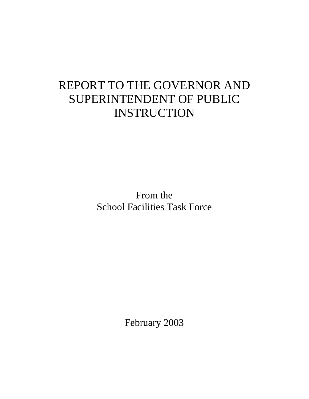# REPORT TO THE GOVERNOR AND SUPERINTENDENT OF PUBLIC INSTRUCTION

From the School Facilities Task Force

February 2003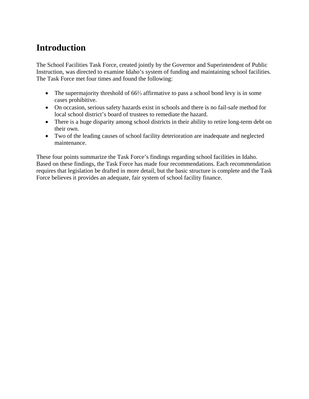# **Introduction**

The School Facilities Task Force, created jointly by the Governor and Superintendent of Public Instruction, was directed to examine Idaho's system of funding and maintaining school facilities. The Task Force met four times and found the following:

- The supermajority threshold of 66% affirmative to pass a school bond levy is in some cases prohibitive.
- On occasion, serious safety hazards exist in schools and there is no fail-safe method for local school district's board of trustees to remediate the hazard.
- There is a huge disparity among school districts in their ability to retire long-term debt on their own.
- Two of the leading causes of school facility deterioration are inadequate and neglected maintenance.

These four points summarize the Task Force's findings regarding school facilities in Idaho. Based on these findings, the Task Force has made four recommendations. Each recommendation requires that legislation be drafted in more detail, but the basic structure is complete and the Task Force believes it provides an adequate, fair system of school facility finance.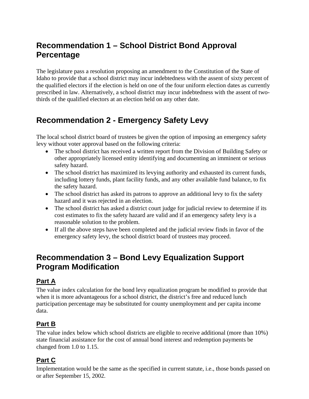# **Recommendation 1 – School District Bond Approval Percentage**

The legislature pass a resolution proposing an amendment to the Constitution of the State of Idaho to provide that a school district may incur indebtedness with the assent of sixty percent of the qualified electors if the election is held on one of the four uniform election dates as currently prescribed in law. Alternatively, a school district may incur indebtedness with the assent of twothirds of the qualified electors at an election held on any other date.

## **Recommendation 2 - Emergency Safety Levy**

The local school district board of trustees be given the option of imposing an emergency safety levy without voter approval based on the following criteria:

- The school district has received a written report from the Division of Building Safety or other appropriately licensed entity identifying and documenting an imminent or serious safety hazard.
- The school district has maximized its levying authority and exhausted its current funds, including lottery funds, plant facility funds, and any other available fund balance, to fix the safety hazard.
- The school district has asked its patrons to approve an additional levy to fix the safety hazard and it was rejected in an election.
- The school district has asked a district court judge for judicial review to determine if its cost estimates to fix the safety hazard are valid and if an emergency safety levy is a reasonable solution to the problem.
- If all the above steps have been completed and the judicial review finds in favor of the emergency safety levy, the school district board of trustees may proceed.

## **Recommendation 3 – Bond Levy Equalization Support Program Modification**

#### **Part A**

The value index calculation for the bond levy equalization program be modified to provide that when it is more advantageous for a school district, the district's free and reduced lunch participation percentage may be substituted for county unemployment and per capita income data.

#### **Part B**

The value index below which school districts are eligible to receive additional (more than 10%) state financial assistance for the cost of annual bond interest and redemption payments be changed from 1.0 to 1.15.

#### **Part C**

Implementation would be the same as the specified in current statute, i.e., those bonds passed on or after September 15, 2002.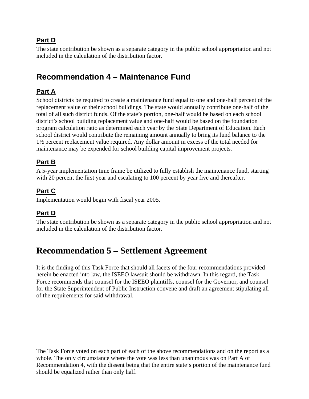#### **Part D**

The state contribution be shown as a separate category in the public school appropriation and not included in the calculation of the distribution factor.

### **Recommendation 4 – Maintenance Fund**

#### **Part A**

School districts be required to create a maintenance fund equal to one and one-half percent of the replacement value of their school buildings. The state would annually contribute one-half of the total of all such district funds. Of the state's portion, one-half would be based on each school district's school building replacement value and one-half would be based on the foundation program calculation ratio as determined each year by the State Department of Education. Each school district would contribute the remaining amount annually to bring its fund balance to the 1½ percent replacement value required. Any dollar amount in excess of the total needed for maintenance may be expended for school building capital improvement projects.

#### **Part B**

A 5-year implementation time frame be utilized to fully establish the maintenance fund, starting with 20 percent the first year and escalating to 100 percent by year five and thereafter.

#### **Part C**

Implementation would begin with fiscal year 2005.

#### **Part D**

The state contribution be shown as a separate category in the public school appropriation and not included in the calculation of the distribution factor.

### **Recommendation 5 – Settlement Agreement**

It is the finding of this Task Force that should all facets of the four recommendations provided herein be enacted into law, the ISEEO lawsuit should be withdrawn. In this regard, the Task Force recommends that counsel for the ISEEO plaintiffs, counsel for the Governor, and counsel for the State Superintendent of Public Instruction convene and draft an agreement stipulating all of the requirements for said withdrawal.

The Task Force voted on each part of each of the above recommendations and on the report as a whole. The only circumstance where the vote was less than unanimous was on Part A of Recommendation 4, with the dissent being that the entire state's portion of the maintenance fund should be equalized rather than only half.